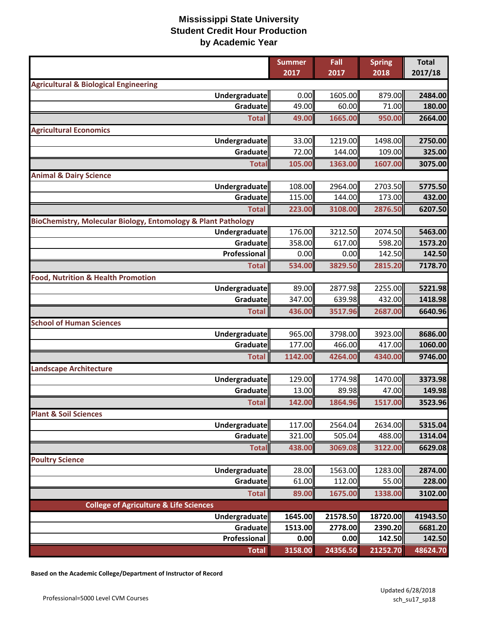|                                                               | <b>Summer</b><br>2017 | Fall<br>2017     | <b>Spring</b><br>2018 | <b>Total</b><br>2017/18 |
|---------------------------------------------------------------|-----------------------|------------------|-----------------------|-------------------------|
| <b>Agricultural &amp; Biological Engineering</b>              |                       |                  |                       |                         |
| Undergraduate                                                 | 0.00                  | 1605.00          | 879.00                | 2484.00                 |
| Graduate                                                      | 49.00                 | 60.00            | 71.00                 | 180.00                  |
| <b>Total</b>                                                  | 49.00                 | 1665.00          | 950.00                | 2664.00                 |
| <b>Agricultural Economics</b>                                 |                       |                  |                       |                         |
| <b>Undergraduate</b>                                          | 33.00                 | 1219.00          | 1498.00               | 2750.00                 |
| Graduate                                                      | 72.00                 | 144.00           | 109.00                | 325.00                  |
| <b>Total</b>                                                  | 105.00                | 1363.00          | 1607.00               | 3075.00                 |
| <b>Animal &amp; Dairy Science</b>                             |                       |                  |                       |                         |
| Undergraduate                                                 | 108.00                | 2964.00          | 2703.50               | 5775.50                 |
| Graduate                                                      | 115.00                | 144.00           | 173.00                | 432.00                  |
| <b>Total</b>                                                  | 223.00                | 3108.00          | 2876.50               | 6207.50                 |
| BioChemistry, Molecular Biology, Entomology & Plant Pathology |                       |                  |                       |                         |
| Undergraduate                                                 | 176.00                | 3212.50          | 2074.50               | 5463.00                 |
| Graduate                                                      | 358.00                | 617.00           | 598.20                | 1573.20                 |
| Professional                                                  | 0.00                  | 0.00             | 142.50                | 142.50                  |
| <b>Total</b>                                                  | 534.00                | 3829.50          | 2815.20               | 7178.70                 |
| <b>Food, Nutrition &amp; Health Promotion</b>                 |                       |                  |                       |                         |
| Undergraduate                                                 | 89.00                 | 2877.98          | 2255.00               | 5221.98                 |
| Graduate                                                      | 347.00                | 639.98           | 432.00                | 1418.98                 |
| <b>Total</b>                                                  | 436.00                | 3517.96          | 2687.00               | 6640.96                 |
| <b>School of Human Sciences</b>                               |                       |                  |                       |                         |
| Undergraduate                                                 | 965.00                | 3798.00          | 3923.00               | 8686.00                 |
| Graduate                                                      | 177.00                | 466.00           | 417.00                | 1060.00                 |
| <b>Total</b>                                                  | 1142.00               | 4264.00          | 4340.00               | 9746.00                 |
| <b>Landscape Architecture</b>                                 |                       |                  |                       |                         |
| <b>Undergraduate</b><br>Graduate                              | 129.00<br>13.00       | 1774.98<br>89.98 | 1470.00<br>47.00      | 3373.98<br>149.98       |
|                                                               | 142.00                | 1864.96          | 1517.00               | 3523.96                 |
| <b>Total</b><br><b>Plant &amp; Soil Sciences</b>              |                       |                  |                       |                         |
| <b>Undergraduate</b>                                          | 117.00                | 2564.04          | 2634.00               | 5315.04                 |
| Graduate                                                      | 321.00                | 505.04           | 488.00                | 1314.04                 |
| <b>Total</b>                                                  | 438.00                | 3069.08          | 3122.00               | 6629.08                 |
| <b>Poultry Science</b>                                        |                       |                  |                       |                         |
| <b>Undergraduate</b>                                          | 28.00                 | 1563.00          | 1283.00               | 2874.00                 |
| Graduate                                                      | 61.00                 | 112.00           | 55.00                 | 228.00                  |
| <b>Total</b>                                                  | 89.00                 | 1675.00          | 1338.00               | 3102.00                 |
| <b>College of Agriculture &amp; Life Sciences</b>             |                       |                  |                       |                         |
| Undergraduate                                                 | 1645.00               | 21578.50         | 18720.00              | 41943.50                |
| Graduate                                                      | 1513.00               | 2778.00          | 2390.20               | 6681.20                 |
| Professional                                                  | 0.00                  | 0.00             | 142.50                | 142.50                  |
| <b>Total</b>                                                  | 3158.00               | 24356.50         | 21252.70              | 48624.70                |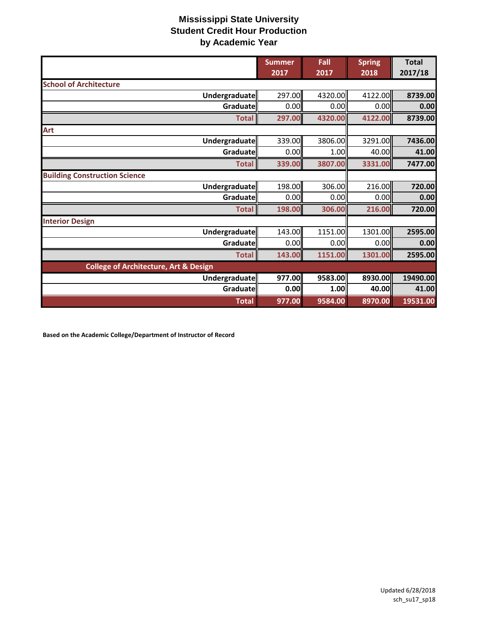|                                                  | <b>Summer</b><br>2017 | Fall<br>2017 | <b>Spring</b><br>2018 | <b>Total</b><br>2017/18 |
|--------------------------------------------------|-----------------------|--------------|-----------------------|-------------------------|
| <b>School of Architecture</b>                    |                       |              |                       |                         |
| Undergraduate                                    | 297.00                | 4320.00      | 4122.00               | 8739.00                 |
| Graduate                                         | 0.00                  | 0.00         | 0.00                  | 0.00                    |
| <b>Total</b>                                     | 297.00                | 4320.00      | 4122.00               | 8739.00                 |
| Art                                              |                       |              |                       |                         |
| Undergraduate                                    | 339.00                | 3806.00      | 3291.00               | 7436.00                 |
| Graduate                                         | 0.00                  | 1.00         | 40.00                 | 41.00                   |
| <b>Total</b>                                     | 339.00                | 3807.00      | 3331.00               | 7477.00                 |
| <b>Building Construction Science</b>             |                       |              |                       |                         |
| Undergraduate                                    | 198.00                | 306.00       | 216.00                | 720.00                  |
| Graduate                                         | 0.00                  | 0.00         | 0.00                  | 0.00                    |
| <b>Total</b>                                     | 198.00                | 306.00       | 216.00                | 720.00                  |
| <b>Interior Design</b>                           |                       |              |                       |                         |
| Undergraduate                                    | 143.00                | 1151.00      | 1301.00               | 2595.00                 |
| Graduate                                         | 0.00                  | 0.00         | 0.00                  | 0.00                    |
| <b>Total</b>                                     | 143.00                | 1151.00      | 1301.00               | 2595.00                 |
| <b>College of Architecture, Art &amp; Design</b> |                       |              |                       |                         |
| Undergraduate                                    | 977.00                | 9583.00      | 8930.00               | 19490.00                |
| Graduate                                         | 0.00                  | 1.00         | 40.00                 | 41.00                   |
| <b>Total</b>                                     | 977.00                | 9584.00      | 8970.00               | 19531.00                |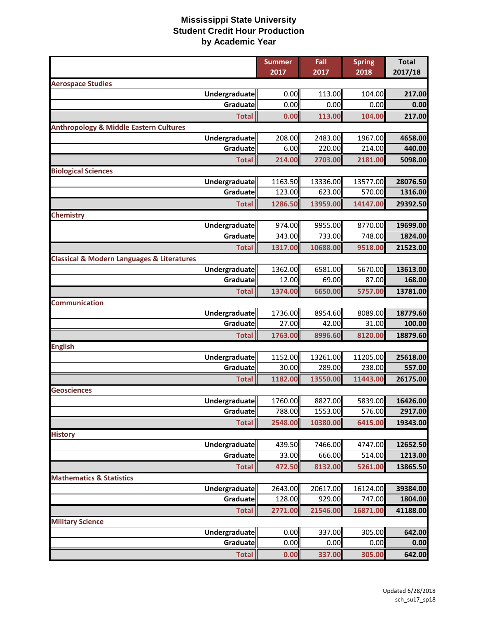|                                                           | <b>Summer</b><br>2017 | Fall<br>2017     | <b>Spring</b><br>2018 | <b>Total</b><br>2017/18 |
|-----------------------------------------------------------|-----------------------|------------------|-----------------------|-------------------------|
| <b>Aerospace Studies</b>                                  |                       |                  |                       |                         |
| Undergraduate                                             | 0.00                  | 113.00           | 104.00                | 217.00                  |
| Graduate                                                  | 0.00                  | 0.00             | 0.00                  | 0.00                    |
| <b>Total</b>                                              | 0.00                  | 113.00           | 104.00                | 217.00                  |
| <b>Anthropology &amp; Middle Eastern Cultures</b>         |                       |                  |                       |                         |
| Undergraduate                                             | 208.00                | 2483.00          | 1967.00               | 4658.00                 |
| Graduate                                                  | 6.00                  | 220.00           | 214.00                | 440.00                  |
| <b>Total</b>                                              | 214.00                | 2703.00          | 2181.00               | 5098.00                 |
| <b>Biological Sciences</b>                                |                       |                  |                       |                         |
| <b>Undergraduate</b>                                      | 1163.50               | 13336.00         | 13577.00              | 28076.50                |
| Graduate                                                  | 123.00                | 623.00           | 570.00                | 1316.00                 |
| <b>Total</b>                                              | 1286.50               | 13959.00         | 14147.00              | 29392.50                |
| <b>Chemistry</b>                                          |                       |                  |                       |                         |
| Undergraduate                                             | 974.00                | 9955.00          | 8770.00               | 19699.00                |
| Graduate                                                  | 343.00                | 733.00           | 748.00                | 1824.00                 |
| <b>Total</b>                                              | 1317.00               | 10688.00         | 9518.00               | 21523.00                |
| <b>Classical &amp; Modern Languages &amp; Literatures</b> |                       |                  |                       |                         |
| Undergraduate                                             | 1362.00               | 6581.00          | 5670.00               | 13613.00                |
| Graduate                                                  | 12.00                 | 69.00            | 87.00                 | 168.00                  |
| <b>Total</b>                                              | 1374.00               | 6650.00          | 5757.00               | 13781.00                |
| <b>Communication</b>                                      |                       |                  |                       |                         |
| Undergraduate<br>Graduate                                 | 1736.00<br>27.00      | 8954.60<br>42.00 | 8089.00<br>31.00      | 18779.60                |
|                                                           |                       |                  |                       | 100.00                  |
| <b>Total</b>                                              | 1763.00               | 8996.60          | 8120.00               | 18879.60                |
| <b>English</b><br>Undergraduate                           | 1152.00               | 13261.00         | 11205.00              | 25618.00                |
| Graduate                                                  | 30.00                 | 289.00           | 238.00                | 557.00                  |
| <b>Total</b>                                              | 1182.00               | 13550.00         | 11443.00              | 26175.00                |
| <b>Geosciences</b>                                        |                       |                  |                       |                         |
| Undergraduate                                             | 1760.00               | 8827.00          | 5839.00               | 16426.00                |
| Graduate                                                  | 788.00                | 1553.00          | 576.00                | 2917.00                 |
| <b>Total</b>                                              | 2548.00               | 10380.00         | 6415.00               | 19343.00                |
| <b>History</b>                                            |                       |                  |                       |                         |
| Undergraduate                                             | 439.50                | 7466.00          | 4747.00               | 12652.50                |
| Graduate                                                  | 33.00                 | 666.00           | 514.00                | 1213.00                 |
| <b>Total</b>                                              | 472.50                | 8132.00          | 5261.00               | 13865.50                |
| <b>Mathematics &amp; Statistics</b>                       |                       |                  |                       |                         |
| Undergraduate                                             | 2643.00               | 20617.00         | 16124.00              | 39384.00                |
| Graduate                                                  | 128.00                | 929.00           | 747.00                | 1804.00                 |
| <b>Total</b>                                              | 2771.00               | 21546.00         | 16871.00              | 41188.00                |
| <b>Military Science</b>                                   |                       |                  |                       |                         |
| Undergraduate                                             | 0.00                  | 337.00           | 305.00                | 642.00                  |
| Graduate                                                  | 0.00                  | 0.00             | 0.00                  | 0.00                    |
| <b>Total</b>                                              | 0.00                  | 337.00           | 305.00                | 642.00                  |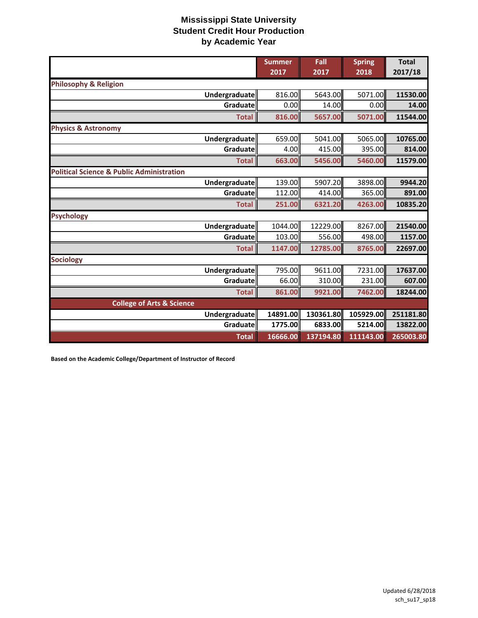|                                                      | <b>Summer</b><br>2017 | Fall<br>2017 | <b>Spring</b><br>2018 | <b>Total</b><br>2017/18 |
|------------------------------------------------------|-----------------------|--------------|-----------------------|-------------------------|
| <b>Philosophy &amp; Religion</b>                     |                       |              |                       |                         |
| Undergraduate                                        | 816.00                | 5643.00      | 5071.00               | 11530.00                |
| Graduatell                                           | 0.00                  | 14.00        | 0.00                  | 14.00                   |
| <b>Total</b>                                         | 816.00                | 5657.00      | 5071.00               | 11544.00                |
| <b>Physics &amp; Astronomy</b>                       |                       |              |                       |                         |
| Undergraduate                                        | 659.00                | 5041.00      | 5065.00               | 10765.00                |
| Graduate                                             | 4.00                  | 415.00       | 395.00                | 814.00                  |
| <b>Total</b>                                         | 663.00                | 5456.00      | 5460.00               | 11579.00                |
| <b>Political Science &amp; Public Administration</b> |                       |              |                       |                         |
| <b>Undergraduate</b>                                 | 139.00                | 5907.20      | 3898.00               | 9944.20                 |
| Graduatel                                            | 112.00                | 414.00       | 365.00                | 891.00                  |
| <b>Total</b>                                         | 251.00                | 6321.20      | 4263.00               | 10835.20                |
| <b>Psychology</b>                                    |                       |              |                       |                         |
| Undergraduate                                        | 1044.00               | 12229.00     | 8267.00               | 21540.00                |
| Graduate                                             | 103.00                | 556.00       | 498.00                | 1157.00                 |
| <b>Total</b>                                         | 1147.00               | 12785.00     | 8765.00               | 22697.00                |
| <b>Sociology</b>                                     |                       |              |                       |                         |
| Undergraduate                                        | 795.00                | 9611.00      | 7231.00               | 17637.00                |
| Graduate                                             | 66.00                 | 310.00       | 231.00                | 607.00                  |
| <b>Total</b>                                         | 861.00                | 9921.00      | 7462.00               | 18244.00                |
| <b>College of Arts &amp; Science</b>                 |                       |              |                       |                         |
| Undergraduate                                        | 14891.00              | 130361.80    | 105929.00             | 251181.80               |
| Graduate                                             | 1775.00               | 6833.00      | 5214.00               | 13822.00                |
| <b>Total</b>                                         | 16666.00              | 137194.80    | 111143.00             | 265003.80               |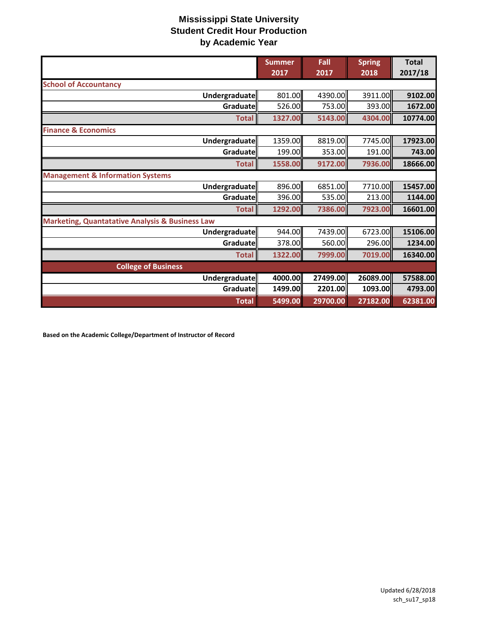|                                                            | <b>Summer</b><br>2017 | Fall<br>2017 | <b>Spring</b><br>2018 | <b>Total</b><br>2017/18 |
|------------------------------------------------------------|-----------------------|--------------|-----------------------|-------------------------|
| <b>School of Accountancy</b>                               |                       |              |                       |                         |
| Undergraduate                                              | 801.00                | 4390.00      | 3911.00               | 9102.00                 |
| Graduate                                                   | 526.00                | 753.00       | 393.00                | 1672.00                 |
| <b>Total</b>                                               | 1327.00               | 5143.00      | 4304.00               | 10774.00                |
| <b>Finance &amp; Economics</b>                             |                       |              |                       |                         |
| Undergraduate                                              | 1359.00               | 8819.00      | 7745.00               | 17923.00                |
| Graduate                                                   | 199.00                | 353.00       | 191.00                | 743.00                  |
| <b>Total</b>                                               | 1558.00               | 9172.00      | 7936.00               | 18666.00                |
| <b>Management &amp; Information Systems</b>                |                       |              |                       |                         |
| Undergraduate                                              | 896.00                | 6851.00      | 7710.00               | 15457.00                |
| Graduate                                                   | 396.00                | 535.00       | 213.00                | 1144.00                 |
| <b>Total</b>                                               | 1292.00               | 7386.00      | 7923.00               | 16601.00                |
| <b>Marketing, Quantatative Analysis &amp; Business Law</b> |                       |              |                       |                         |
| Undergraduate                                              | 944.00                | 7439.00      | 6723.00               | 15106.00                |
| Graduate                                                   | 378.00                | 560.00       | 296.00                | 1234.00                 |
| <b>Total</b>                                               | 1322.00               | 7999.00      | 7019.00               | 16340.00                |
| <b>College of Business</b>                                 |                       |              |                       |                         |
| Undergraduate                                              | 4000.00               | 27499.00     | 26089.00              | 57588.00                |
| Graduate                                                   | 1499.00               | 2201.00      | 1093.00               | 4793.00                 |
| <b>Total</b>                                               | 5499.00               | 29700.00     | 27182.00              | 62381.00                |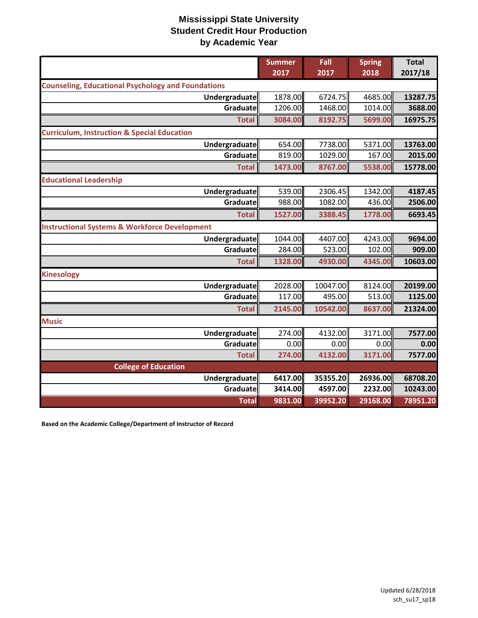|                                                           | <b>Summer</b><br>2017 | Fall<br>2017 | <b>Spring</b><br>2018 | <b>Total</b><br>2017/18 |
|-----------------------------------------------------------|-----------------------|--------------|-----------------------|-------------------------|
| <b>Counseling, Educational Psychology and Foundations</b> |                       |              |                       |                         |
| Undergraduate                                             | 1878.00               | 6724.75      | 4685.00               | 13287.75                |
| Graduate                                                  | 1206.00               | 1468.00      | 1014.00               | 3688.00                 |
| <b>Total</b>                                              | 3084.00               | 8192.75      | 5699.00               | 16975.75                |
| <b>Curriculum, Instruction &amp; Special Education</b>    |                       |              |                       |                         |
| <b>Undergraduate</b>                                      | 654.00                | 7738.00      | 5371.00               | 13763.00                |
| Graduate                                                  | 819.00                | 1029.00      | 167.00                | 2015.00                 |
| <b>Total</b>                                              | 1473.00               | 8767.00      | 5538.00               | 15778.00                |
| <b>Educational Leadership</b>                             |                       |              |                       |                         |
| Undergraduate                                             | 539.00                | 2306.45      | 1342.00               | 4187.45                 |
| Graduate                                                  | 988.00                | 1082.00      | 436.00                | 2506.00                 |
| <b>Total</b>                                              | 1527.00               | 3388.45      | 1778.00               | 6693.45                 |
| <b>Instructional Systems &amp; Workforce Development</b>  |                       |              |                       |                         |
| <b>Undergraduate</b>                                      | 1044.00               | 4407.00      | 4243.00               | 9694.00                 |
| Graduate                                                  | 284.00                | 523.00       | 102.00                | 909.00                  |
| <b>Total</b>                                              | 1328.00               | 4930.00      | 4345.00               | 10603.00                |
| <b>Kinesology</b>                                         |                       |              |                       |                         |
| Undergraduate                                             | 2028.00               | 10047.00     | 8124.00               | 20199.00                |
| Graduatel                                                 | 117.00                | 495.00       | 513.00                | 1125.00                 |
| <b>Total</b>                                              | 2145.00               | 10542.00     | 8637.00               | 21324.00                |
| <b>Music</b>                                              |                       |              |                       |                         |
| <b>Undergraduate</b>                                      | 274.00                | 4132.00      | 3171.00               | 7577.00                 |
| Graduate                                                  | 0.00                  | 0.00         | 0.00                  | 0.00                    |
| <b>Total</b>                                              | 274.00                | 4132.00      | 3171.00               | 7577.00                 |
| <b>College of Education</b>                               |                       |              |                       |                         |
| Undergraduate                                             | 6417.00               | 35355.20     | 26936.00              | 68708.20                |
| Graduate                                                  | 3414.00               | 4597.00      | 2232.00               | 10243.00                |
| <b>Total</b>                                              | 9831.00               | 39952.20     | 29168.00              | 78951.20                |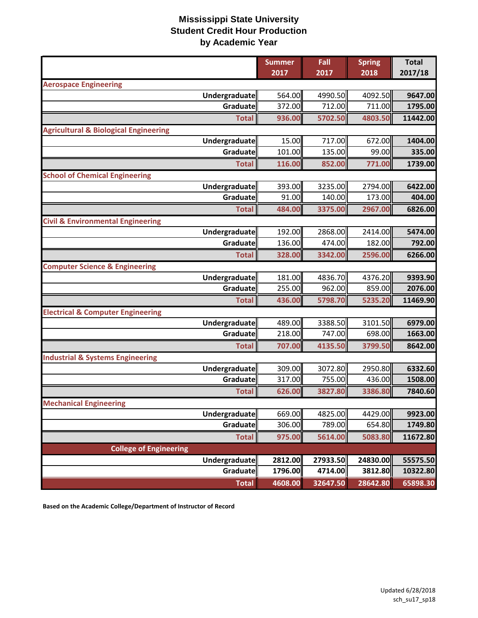|                                                  | <b>Summer</b> | Fall     | <b>Spring</b> | <b>Total</b> |
|--------------------------------------------------|---------------|----------|---------------|--------------|
|                                                  | 2017          | 2017     | 2018          | 2017/18      |
| <b>Aerospace Engineering</b>                     |               |          |               |              |
| Undergraduate                                    | 564.00        | 4990.50  | 4092.50       | 9647.00      |
| Graduate                                         | 372.00        | 712.00   | 711.00        | 1795.00      |
| <b>Total</b>                                     | 936.00        | 5702.50  | 4803.50       | 11442.00     |
| <b>Agricultural &amp; Biological Engineering</b> |               |          |               |              |
| Undergraduate                                    | 15.00         | 717.00   | 672.00        | 1404.00      |
| Graduate                                         | 101.00        | 135.00   | 99.00         | 335.00       |
| <b>Total</b>                                     | 116.00        | 852.00   | 771.00        | 1739.00      |
| <b>School of Chemical Engineering</b>            |               |          |               |              |
| Undergraduate                                    | 393.00        | 3235.00  | 2794.00       | 6422.00      |
| Graduate                                         | 91.00         | 140.00   | 173.00        | 404.00       |
| <b>Total</b>                                     | 484.00        | 3375.00  | 2967.00       | 6826.00      |
| <b>Civil &amp; Environmental Engineering</b>     |               |          |               |              |
| <b>Undergraduate</b>                             | 192.00        | 2868.00  | 2414.00       | 5474.00      |
| Graduate                                         | 136.00        | 474.00   | 182.00        | 792.00       |
| <b>Total</b>                                     | 328.00        | 3342.00  | 2596.00       | 6266.00      |
| <b>Computer Science &amp; Engineering</b>        |               |          |               |              |
| Undergraduate                                    | 181.00        | 4836.70  | 4376.20       | 9393.90      |
| Graduate                                         | 255.00        | 962.00   | 859.00        | 2076.00      |
| <b>Total</b>                                     | 436.00        | 5798.70  | 5235.20       | 11469.90     |
| <b>Electrical &amp; Computer Engineering</b>     |               |          |               |              |
| Undergraduate                                    | 489.00        | 3388.50  | 3101.50       | 6979.00      |
| Graduate                                         | 218.00        | 747.00   | 698.00        | 1663.00      |
| <b>Total</b>                                     | 707.00        | 4135.50  | 3799.50       | 8642.00      |
| <b>Industrial &amp; Systems Engineering</b>      |               |          |               |              |
| Undergraduate                                    | 309.00        | 3072.80  | 2950.80       | 6332.60      |
| Graduate                                         | 317.00        | 755.00   | 436.00        | 1508.00      |
| <b>Total</b>                                     | 626.00        | 3827.80  | 3386.80       | 7840.60      |
| <b>Mechanical Engineering</b>                    |               |          |               |              |
| Undergraduate                                    | 669.00        | 4825.00  | 4429.00       | 9923.00      |
| Graduate                                         | 306.00        | 789.00   | 654.80        | 1749.80      |
| <b>Total</b>                                     | 975.00        | 5614.00  | 5083.80       | 11672.80     |
| <b>College of Engineering</b>                    |               |          |               |              |
| Undergraduate                                    | 2812.00       | 27933.50 | 24830.00      | 55575.50     |
| Graduate                                         | 1796.00       | 4714.00  | 3812.80       | 10322.80     |
| <b>Total</b>                                     | 4608.00       | 32647.50 | 28642.80      | 65898.30     |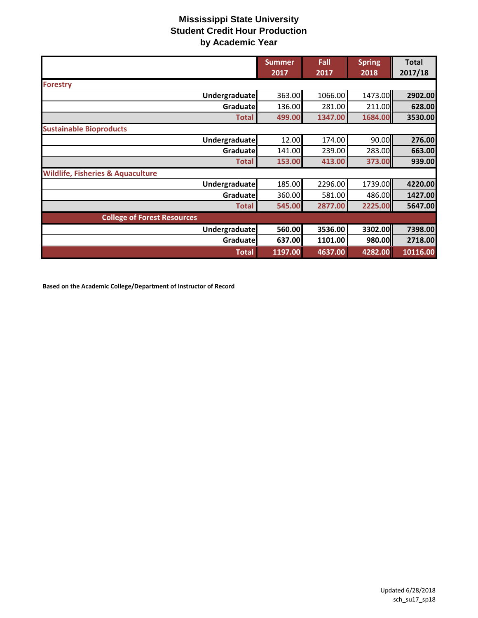|                                              | <b>Summer</b> | Fall    | <b>Spring</b> | <b>Total</b> |
|----------------------------------------------|---------------|---------|---------------|--------------|
|                                              | 2017          | 2017    | 2018          | 2017/18      |
| <b>Forestry</b>                              |               |         |               |              |
| Undergraduate                                | 363.00        | 1066.00 | 1473.00       | 2902.00      |
| Graduate                                     | 136.00        | 281.00  | 211.00        | 628.00       |
| <b>Total</b>                                 | 499.00        | 1347.00 | 1684.00       | 3530.00      |
| <b>Sustainable Bioproducts</b>               |               |         |               |              |
| Undergraduate                                | 12.00         | 174.00  | 90.00         | 276.00       |
| Graduate                                     | 141.00        | 239.00  | 283.00        | 663.00       |
| <b>Total</b>                                 | 153.00        | 413.00  | 373.00        | 939.00       |
| <b>Wildlife, Fisheries &amp; Aquaculture</b> |               |         |               |              |
| Undergraduate                                | 185.00        | 2296.00 | 1739.00       | 4220.00      |
| Graduate                                     | 360.00        | 581.00  | 486.00        | 1427.00      |
| <b>Total</b>                                 | 545.00        | 2877.00 | 2225.00       | 5647.00      |
| <b>College of Forest Resources</b>           |               |         |               |              |
| Undergraduate                                | 560.00        | 3536.00 | 3302.00       | 7398.00      |
| Graduate                                     | 637.00        | 1101.00 | 980.00        | 2718.00      |
| <b>Total</b>                                 | 1197.00       | 4637.00 | 4282.00       | 10116.00     |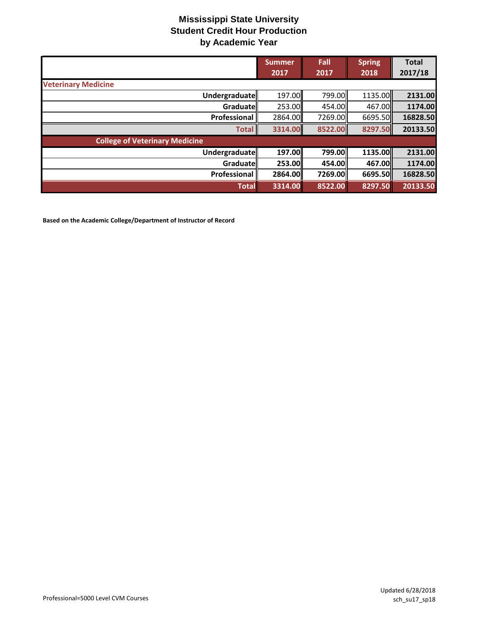|                                       | <b>Summer</b><br>2017 | Fall<br>2017 | <b>Spring</b><br>2018 | <b>Total</b><br>2017/18 |
|---------------------------------------|-----------------------|--------------|-----------------------|-------------------------|
| <b>Veterinary Medicine</b>            |                       |              |                       |                         |
| Undergraduate                         | 197.00                | 799.00       | 1135.00               | 2131.00                 |
| Graduate                              | 253.00                | 454.00       | 467.00 <b>1</b>       | 1174.00                 |
| Professional                          | 2864.00               | 7269.00      | 6695.50               | 16828.50                |
| <b>Total</b>                          | 3314.00               | 8522.00      | 8297.50               | 20133.50                |
| <b>College of Veterinary Medicine</b> |                       |              |                       |                         |
| <b>Undergraduate</b>                  | 197.00                | 799.00       | 1135.00               | 2131.00                 |
| Graduate                              | 253.00                | 454.00       | 467.00II              | 1174.00                 |
| Professional                          | 2864.00               | 7269.00      | 6695.50               | 16828.50                |
| <b>Total</b>                          | 3314.00               | 8522.00      | 8297.50               | 20133.50                |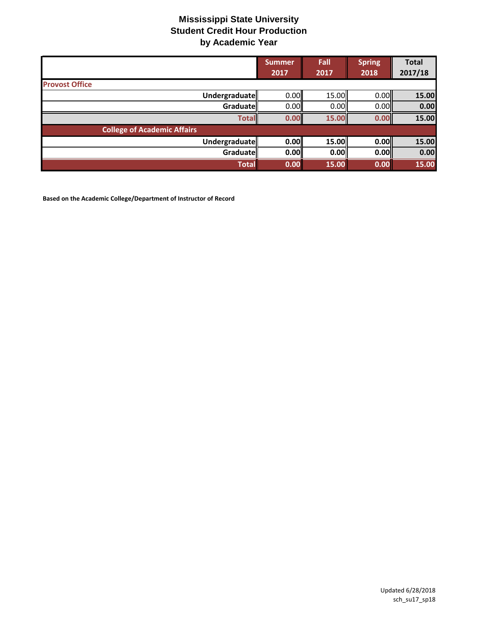|                                    | <b>Summer</b><br>2017 | Fall<br>2017 | <b>Spring</b><br>2018 | <b>Total</b><br>2017/18 |
|------------------------------------|-----------------------|--------------|-----------------------|-------------------------|
| <b>Provost Office</b>              |                       |              |                       |                         |
| Undergraduate                      | 0.00                  | 15.00        | 0.00                  | 15.00                   |
| Graduate                           | 0.00                  | 0.00         | 0.00                  | 0.00                    |
| <b>Total</b>                       | 0.00                  | 15.00        | 0.00                  | 15.00                   |
| <b>College of Academic Affairs</b> |                       |              |                       |                         |
| Undergraduate                      | 0.00                  | 15.00        | 0.00                  | 15.00                   |
| <b>Graduate</b>                    | 0.00                  | 0.00         | 0.00                  | 0.00                    |
| <b>Total</b>                       | 0.00                  | 15.00        | 0.00                  | 15.00                   |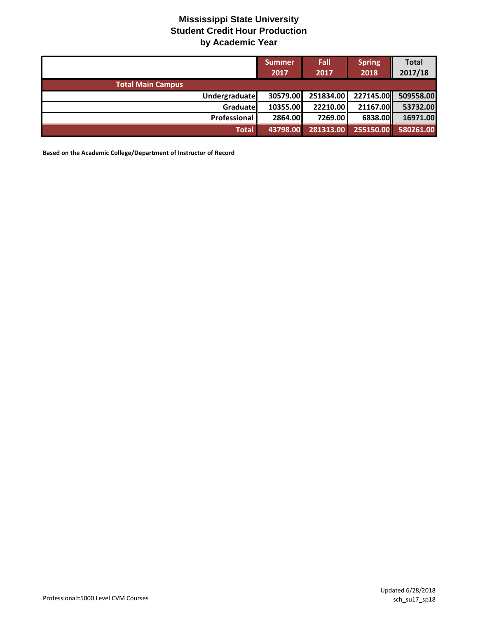|                          | <b>Summer</b><br>2017 | <b>Fall</b><br>2017 | <b>Spring</b><br>2018 | <b>Total</b><br>2017/18 |
|--------------------------|-----------------------|---------------------|-----------------------|-------------------------|
| <b>Total Main Campus</b> |                       |                     |                       |                         |
| Undergraduate            | 30579.00              |                     | 251834.00 227145.00   | 509558.00               |
| Graduate                 | 10355.00              | 22210.00            | 21167.00              | 53732.00                |
| Professional             | 2864.00               | 7269.00             | 6838.00               | 16971.00                |
| <b>Total</b>             | 43798.00              | 281313.00           | 255150.00             | 580261.00               |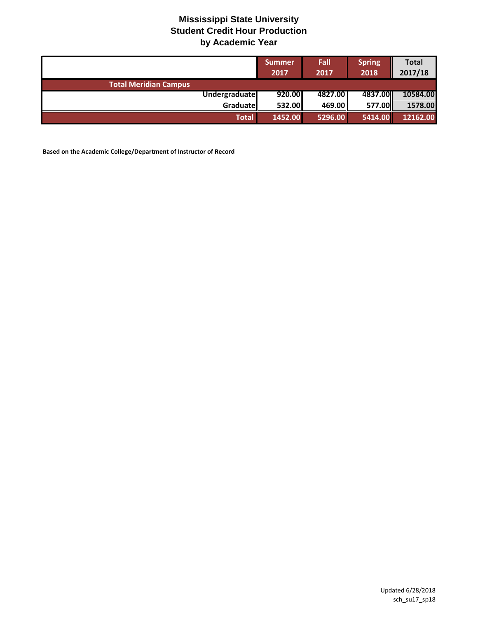|                              | <b>Summer</b><br>2017 | Fall<br>2017 | <b>Spring</b><br>2018 | <b>Total</b><br>2017/18 |
|------------------------------|-----------------------|--------------|-----------------------|-------------------------|
| <b>Total Meridian Campus</b> |                       |              |                       |                         |
| <b>Undergraduate</b>         | 920.00                | 4827.00      | 4837.00               | 10584.00                |
| <b>Graduate</b>              | 532.00                | 469.00       | 577.00                | 1578.00                 |
| <b>Total</b>                 | 1452.00               | 5296.00      | 5414.00               | 12162.00                |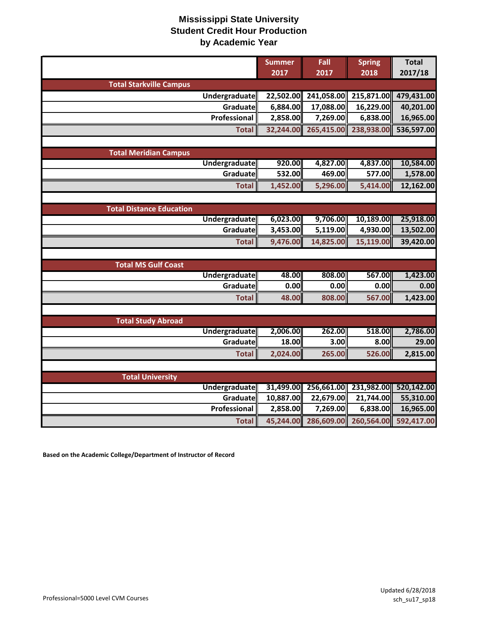|                                 | <b>Summer</b> | Fall       | <b>Spring</b> | <b>Total</b> |
|---------------------------------|---------------|------------|---------------|--------------|
|                                 | 2017          | 2017       | 2018          | 2017/18      |
| <b>Total Starkville Campus</b>  |               |            |               |              |
| Undergraduate                   | 22,502.00     | 241,058.00 | 215,871.00    | 479,431.00   |
| Graduate                        | 6,884.00      | 17,088.00  | 16,229.00     | 40,201.00    |
| Professional                    | 2,858.00      | 7,269.00   | 6,838.00      | 16,965.00    |
| <b>Total</b>                    | 32,244.00     | 265,415.00 | 238,938.00    | 536,597.00   |
|                                 |               |            |               |              |
| <b>Total Meridian Campus</b>    |               |            |               |              |
| Undergraduate                   | 920.00        | 4,827.00   | 4,837.00      | 10,584.00    |
| Graduate                        | 532.00        | 469.00     | 577.00        | 1,578.00     |
| <b>Total</b>                    | 1,452.00      | 5,296.00   | 5,414.00      | 12,162.00    |
|                                 |               |            |               |              |
| <b>Total Distance Education</b> |               |            |               |              |
| <b>Undergraduate</b>            | 6,023.00      | 9,706.00   | 10,189.00     | 25,918.00    |
| Graduate                        | 3,453.00      | 5,119.00   | 4,930.00      | 13,502.00    |
| <b>Total</b>                    | 9,476.00      | 14,825.00  | 15,119.00     | 39,420.00    |
|                                 |               |            |               |              |
| <b>Total MS Gulf Coast</b>      |               |            |               |              |
| <b>Undergraduate</b>            | 48.00         | 808.00     | 567.00        | 1,423.00     |
| Graduate                        | 0.00          | 0.00       | 0.00          | 0.00         |
| <b>Total</b>                    | 48.00         | 808.00     | 567.00        | 1,423.00     |
|                                 |               |            |               |              |
| <b>Total Study Abroad</b>       |               |            |               |              |
| <b>Undergraduate</b>            | 2,006.00      | 262.00     | 518.00        | 2,786.00     |
| Graduate                        | 18.00         | 3.00       | 8.00          | 29.00        |
| <b>Total</b>                    | 2,024.00      | 265.00     | 526.00        | 2,815.00     |
|                                 |               |            |               |              |
| <b>Total University</b>         |               |            |               |              |
| Undergraduate                   | 31,499.00     | 256,661.00 | 231,982.00    | 520,142.00   |
| Graduate                        | 10,887.00     | 22,679.00  | 21,744.00     | 55,310.00    |
| Professional                    | 2,858.00      | 7,269.00   | 6,838.00      | 16,965.00    |
| <b>Total</b>                    | 45,244.00     | 286,609.00 | 260,564.00    | 592,417.00   |